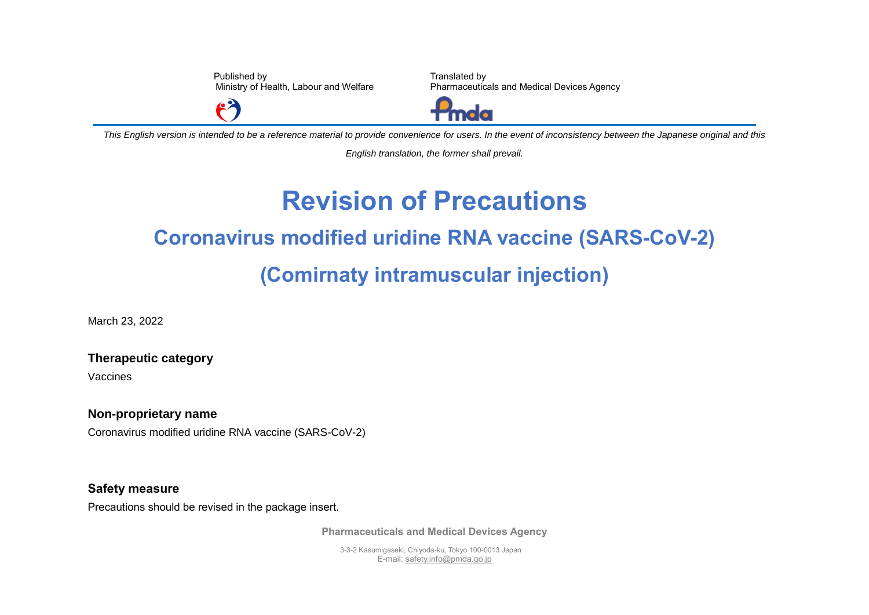Published by Ministry of Health, Labour and Welfare

Translated by Pharmaceuticals and Medical Devices Agency



*This English version is intended to be a reference material to provide convenience for users. In the event of inconsistency between the Japanese original and this* 

*English translation, the former shall prevail.*

## **Revision of Precautions Coronavirus modified uridine RNA vaccine (SARS-CoV-2) (Comirnaty intramuscular injection)**

March 23, 2022

**Therapeutic category**

Vaccines

**Non-proprietary name**

Coronavirus modified uridine RNA vaccine (SARS-CoV-2)

 $\mathbf{P}$ 

## **Safety measure**

Precautions should be revised in the package insert.

**Pharmaceuticals and Medical Devices Agency**

3-3-2 Kasumigaseki, Chiyoda-ku, Tokyo 100-0013 Japan E-mail[: safety.info@pmda.go.jp](mailto:safety.info@pmda.go.jp)